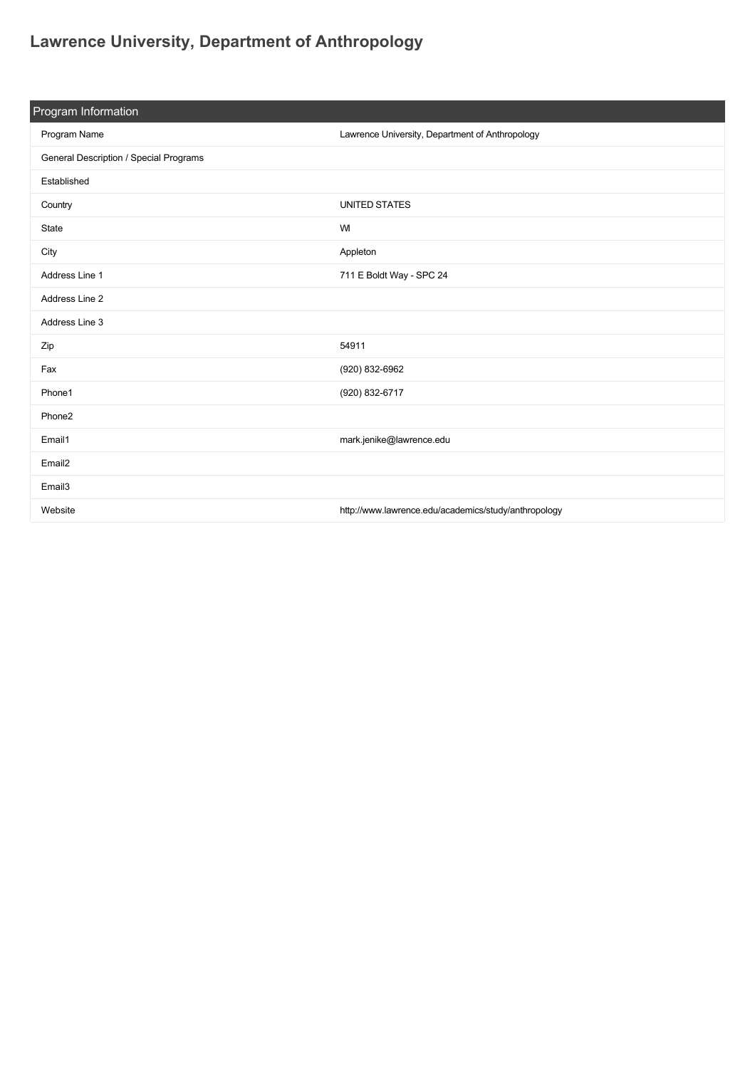## **[Lawrence University, Department of Anthropology](https://guide.americananthro.org/828/Lawrence-University-Department-of-Anthropology)**

| Program Information                    |                                                      |  |  |
|----------------------------------------|------------------------------------------------------|--|--|
| Program Name                           | Lawrence University, Department of Anthropology      |  |  |
| General Description / Special Programs |                                                      |  |  |
| Established                            |                                                      |  |  |
| Country                                | <b>UNITED STATES</b>                                 |  |  |
| State                                  | WI                                                   |  |  |
| City                                   | Appleton                                             |  |  |
| Address Line 1                         | 711 E Boldt Way - SPC 24                             |  |  |
| Address Line 2                         |                                                      |  |  |
| Address Line 3                         |                                                      |  |  |
| Zip                                    | 54911                                                |  |  |
| Fax                                    | (920) 832-6962                                       |  |  |
| Phone1                                 | (920) 832-6717                                       |  |  |
| Phone2                                 |                                                      |  |  |
| Email1                                 | mark.jenike@lawrence.edu                             |  |  |
| Email <sub>2</sub>                     |                                                      |  |  |
| Email <sub>3</sub>                     |                                                      |  |  |
| Website                                | http://www.lawrence.edu/academics/study/anthropology |  |  |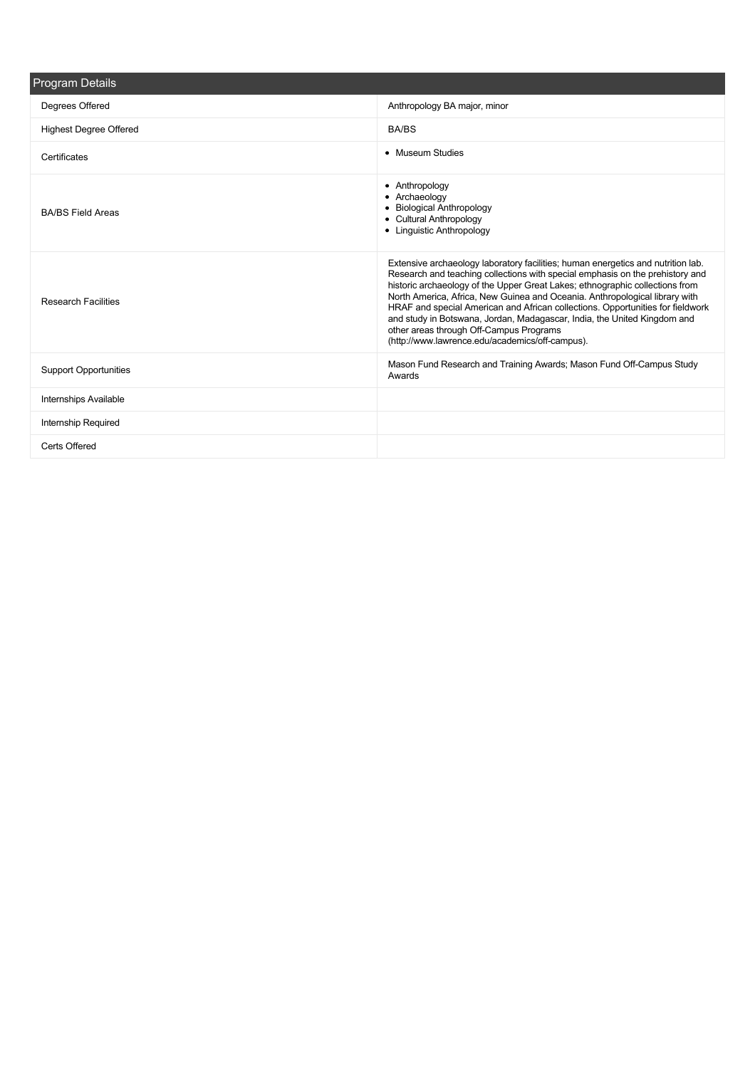| Program Details               |                                                                                                                                                                                                                                                                                                                                                                                                                                                                                                                                                                                              |
|-------------------------------|----------------------------------------------------------------------------------------------------------------------------------------------------------------------------------------------------------------------------------------------------------------------------------------------------------------------------------------------------------------------------------------------------------------------------------------------------------------------------------------------------------------------------------------------------------------------------------------------|
| Degrees Offered               | Anthropology BA major, minor                                                                                                                                                                                                                                                                                                                                                                                                                                                                                                                                                                 |
| <b>Highest Degree Offered</b> | <b>BA/BS</b>                                                                                                                                                                                                                                                                                                                                                                                                                                                                                                                                                                                 |
| Certificates                  | • Museum Studies                                                                                                                                                                                                                                                                                                                                                                                                                                                                                                                                                                             |
| <b>BA/BS Field Areas</b>      | • Anthropology<br>• Archaeology<br>• Biological Anthropology<br>• Cultural Anthropology<br>• Linguistic Anthropology                                                                                                                                                                                                                                                                                                                                                                                                                                                                         |
| <b>Research Facilities</b>    | Extensive archaeology laboratory facilities; human energetics and nutrition lab.<br>Research and teaching collections with special emphasis on the prehistory and<br>historic archaeology of the Upper Great Lakes; ethnographic collections from<br>North America, Africa, New Guinea and Oceania. Anthropological library with<br>HRAF and special American and African collections. Opportunities for fieldwork<br>and study in Botswana, Jordan, Madagascar, India, the United Kingdom and<br>other areas through Off-Campus Programs<br>(http://www.lawrence.edu/academics/off-campus). |
| <b>Support Opportunities</b>  | Mason Fund Research and Training Awards; Mason Fund Off-Campus Study<br>Awards                                                                                                                                                                                                                                                                                                                                                                                                                                                                                                               |
| <b>Internships Available</b>  |                                                                                                                                                                                                                                                                                                                                                                                                                                                                                                                                                                                              |
| Internship Required           |                                                                                                                                                                                                                                                                                                                                                                                                                                                                                                                                                                                              |
| Certs Offered                 |                                                                                                                                                                                                                                                                                                                                                                                                                                                                                                                                                                                              |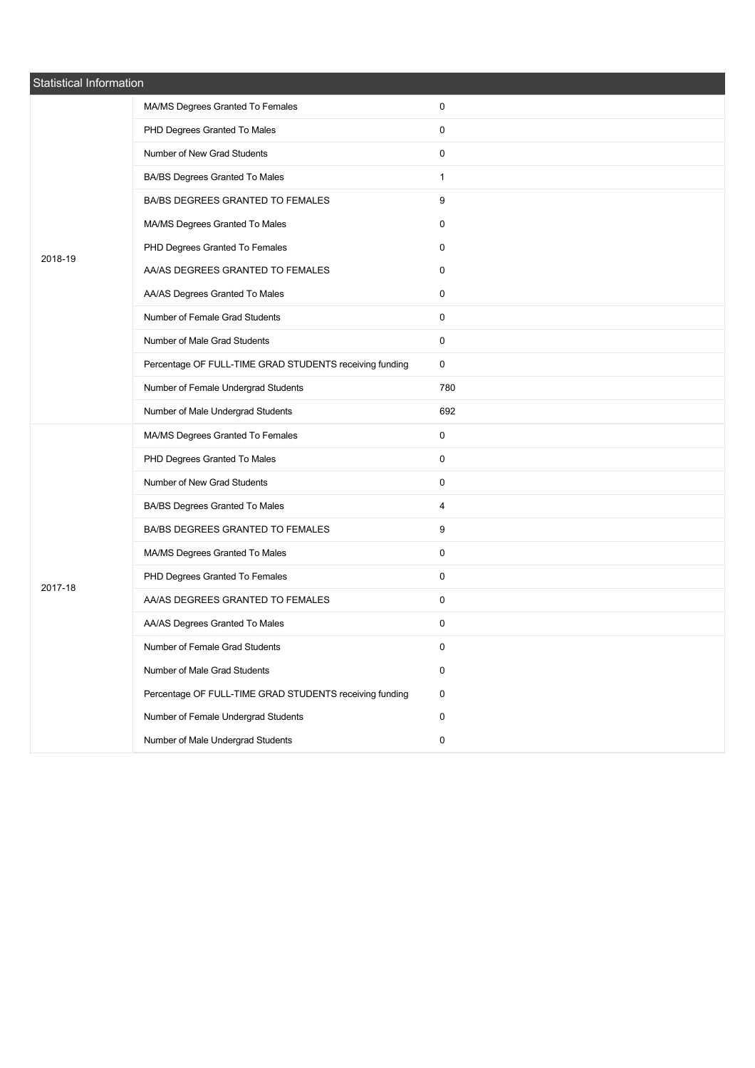| Statistical Information |                                                         |              |  |
|-------------------------|---------------------------------------------------------|--------------|--|
|                         | MA/MS Degrees Granted To Females                        | 0            |  |
|                         | PHD Degrees Granted To Males                            | 0            |  |
|                         | Number of New Grad Students                             | 0            |  |
|                         | BA/BS Degrees Granted To Males                          | $\mathbf{1}$ |  |
|                         | BA/BS DEGREES GRANTED TO FEMALES                        | 9            |  |
|                         | MA/MS Degrees Granted To Males                          | 0            |  |
| 2018-19                 | PHD Degrees Granted To Females                          | 0            |  |
|                         | AA/AS DEGREES GRANTED TO FEMALES                        | 0            |  |
|                         | AA/AS Degrees Granted To Males                          | 0            |  |
|                         | Number of Female Grad Students                          | 0            |  |
|                         | Number of Male Grad Students                            | 0            |  |
|                         | Percentage OF FULL-TIME GRAD STUDENTS receiving funding | 0            |  |
|                         | Number of Female Undergrad Students                     | 780          |  |
|                         | Number of Male Undergrad Students                       | 692          |  |
|                         | MA/MS Degrees Granted To Females                        | 0            |  |
|                         | PHD Degrees Granted To Males                            | 0            |  |
|                         | Number of New Grad Students                             | 0            |  |
|                         | BA/BS Degrees Granted To Males                          | 4            |  |
|                         | BA/BS DEGREES GRANTED TO FEMALES                        | 9            |  |
|                         | MA/MS Degrees Granted To Males                          | 0            |  |
| 2017-18                 | PHD Degrees Granted To Females                          | 0            |  |
|                         | AA/AS DEGREES GRANTED TO FEMALES                        | 0            |  |
|                         | AA/AS Degrees Granted To Males                          | 0            |  |
|                         | Number of Female Grad Students                          | 0            |  |
|                         | Number of Male Grad Students                            | 0            |  |
|                         | Percentage OF FULL-TIME GRAD STUDENTS receiving funding | 0            |  |
|                         | Number of Female Undergrad Students                     | 0            |  |
|                         | Number of Male Undergrad Students                       | $\pmb{0}$    |  |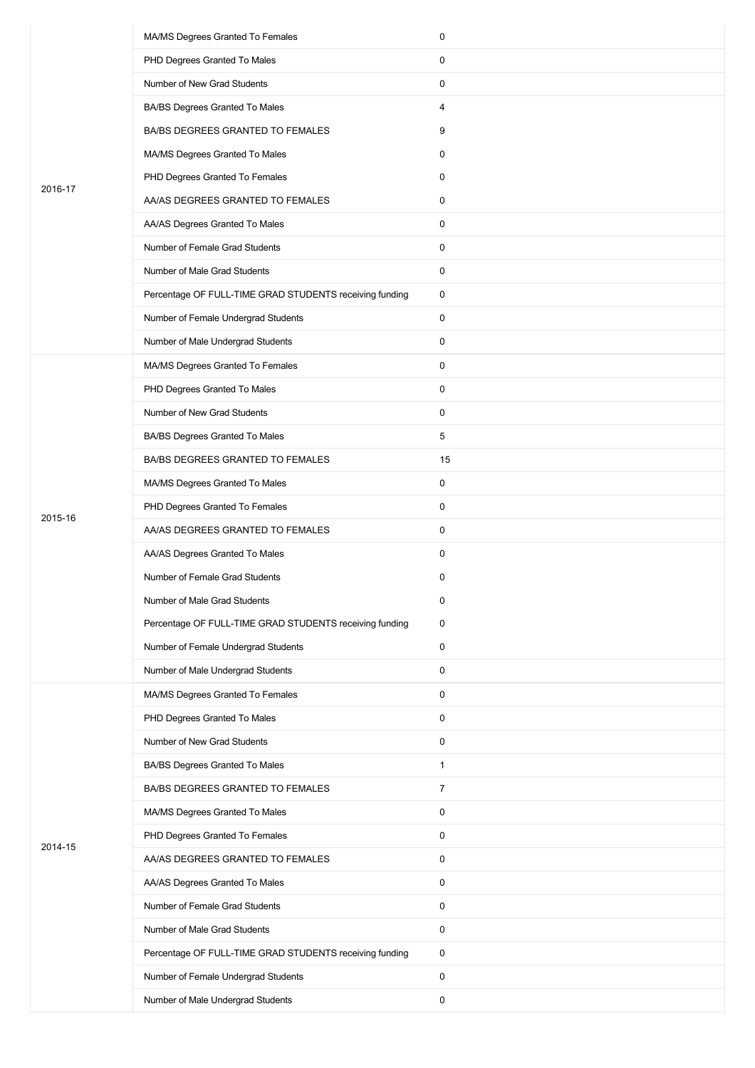|         | MA/MS Degrees Granted To Females                        | 0            |
|---------|---------------------------------------------------------|--------------|
|         | PHD Degrees Granted To Males                            | 0            |
|         | Number of New Grad Students                             | 0            |
|         | BA/BS Degrees Granted To Males                          | 4            |
|         | BA/BS DEGREES GRANTED TO FEMALES                        | 9            |
|         | MA/MS Degrees Granted To Males                          | 0            |
| 2016-17 | PHD Degrees Granted To Females                          | 0            |
|         | AA/AS DEGREES GRANTED TO FEMALES                        | 0            |
|         | AA/AS Degrees Granted To Males                          | 0            |
|         | Number of Female Grad Students                          | 0            |
|         | Number of Male Grad Students                            | 0            |
|         | Percentage OF FULL-TIME GRAD STUDENTS receiving funding | 0            |
|         | Number of Female Undergrad Students                     | 0            |
|         | Number of Male Undergrad Students                       | 0            |
|         | MA/MS Degrees Granted To Females                        | 0            |
|         | PHD Degrees Granted To Males                            | 0            |
|         | Number of New Grad Students                             | 0            |
|         | BA/BS Degrees Granted To Males                          | 5            |
|         | BA/BS DEGREES GRANTED TO FEMALES                        | 15           |
|         | MA/MS Degrees Granted To Males                          | 0            |
| 2015-16 | PHD Degrees Granted To Females                          | 0            |
|         | AA/AS DEGREES GRANTED TO FEMALES                        | 0            |
|         | AA/AS Degrees Granted To Males                          | 0            |
|         | Number of Female Grad Students                          | 0            |
|         | Number of Male Grad Students                            | 0            |
|         | Percentage OF FULL-TIME GRAD STUDENTS receiving funding | 0            |
|         | Number of Female Undergrad Students                     | 0            |
|         | Number of Male Undergrad Students                       | 0            |
|         | MA/MS Degrees Granted To Females                        | 0            |
|         | PHD Degrees Granted To Males                            | 0            |
|         | Number of New Grad Students                             | 0            |
|         | BA/BS Degrees Granted To Males                          | $\mathbf{1}$ |
|         | BA/BS DEGREES GRANTED TO FEMALES                        | 7            |
|         | MA/MS Degrees Granted To Males                          | 0            |
|         | PHD Degrees Granted To Females                          | 0            |
| 2014-15 | AA/AS DEGREES GRANTED TO FEMALES                        | 0            |
|         | AA/AS Degrees Granted To Males                          | 0            |
|         | Number of Female Grad Students                          | 0            |
|         | Number of Male Grad Students                            | 0            |
|         | Percentage OF FULL-TIME GRAD STUDENTS receiving funding | 0            |
|         | Number of Female Undergrad Students                     | 0            |
|         | Number of Male Undergrad Students                       | 0            |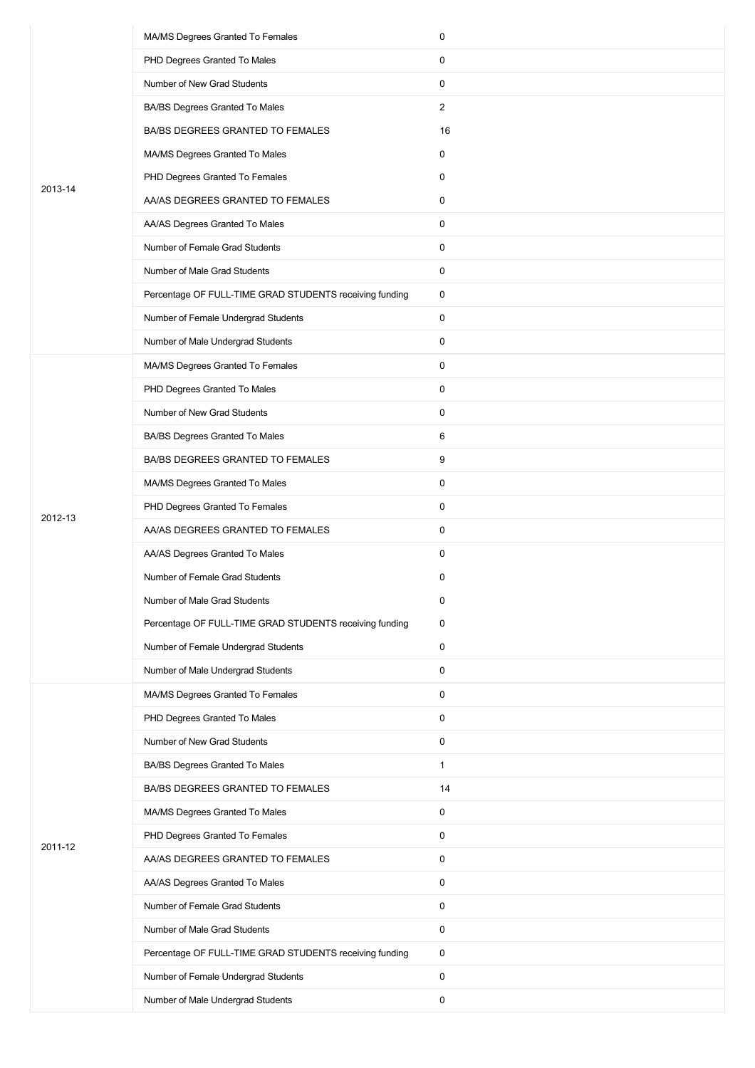|         | MA/MS Degrees Granted To Females                        | 0              |
|---------|---------------------------------------------------------|----------------|
|         | PHD Degrees Granted To Males                            | 0              |
|         | Number of New Grad Students                             | 0              |
|         | BA/BS Degrees Granted To Males                          | $\overline{2}$ |
|         | BA/BS DEGREES GRANTED TO FEMALES                        | 16             |
|         | MA/MS Degrees Granted To Males                          | 0              |
|         | PHD Degrees Granted To Females                          | 0              |
| 2013-14 | AA/AS DEGREES GRANTED TO FEMALES                        | 0              |
|         | AA/AS Degrees Granted To Males                          | 0              |
|         | Number of Female Grad Students                          | 0              |
|         | Number of Male Grad Students                            | 0              |
|         | Percentage OF FULL-TIME GRAD STUDENTS receiving funding | 0              |
|         | Number of Female Undergrad Students                     | 0              |
|         | Number of Male Undergrad Students                       | 0              |
|         | MA/MS Degrees Granted To Females                        | 0              |
|         | PHD Degrees Granted To Males                            | 0              |
|         | Number of New Grad Students                             | 0              |
|         | BA/BS Degrees Granted To Males                          | 6              |
|         | BA/BS DEGREES GRANTED TO FEMALES                        | 9              |
|         | MA/MS Degrees Granted To Males                          | 0              |
|         | PHD Degrees Granted To Females                          | 0              |
| 2012-13 | AA/AS DEGREES GRANTED TO FEMALES                        | 0              |
|         | AA/AS Degrees Granted To Males                          | 0              |
|         | Number of Female Grad Students                          | 0              |
|         | Number of Male Grad Students                            | 0              |
|         | Percentage OF FULL-TIME GRAD STUDENTS receiving funding | 0              |
|         | Number of Female Undergrad Students                     | $\mathbf 0$    |
|         | Number of Male Undergrad Students                       | 0              |
|         | MA/MS Degrees Granted To Females                        | 0              |
|         | PHD Degrees Granted To Males                            | 0              |
|         | Number of New Grad Students                             | 0              |
|         | BA/BS Degrees Granted To Males                          | $\mathbf{1}$   |
|         | BA/BS DEGREES GRANTED TO FEMALES                        | 14             |
|         | MA/MS Degrees Granted To Males                          | 0              |
|         | PHD Degrees Granted To Females                          | 0              |
| 2011-12 | AA/AS DEGREES GRANTED TO FEMALES                        | 0              |
|         | AA/AS Degrees Granted To Males                          | 0              |
|         | Number of Female Grad Students                          | 0              |
|         | Number of Male Grad Students                            | 0              |
|         | Percentage OF FULL-TIME GRAD STUDENTS receiving funding | 0              |
|         | Number of Female Undergrad Students                     | 0              |
|         | Number of Male Undergrad Students                       | 0              |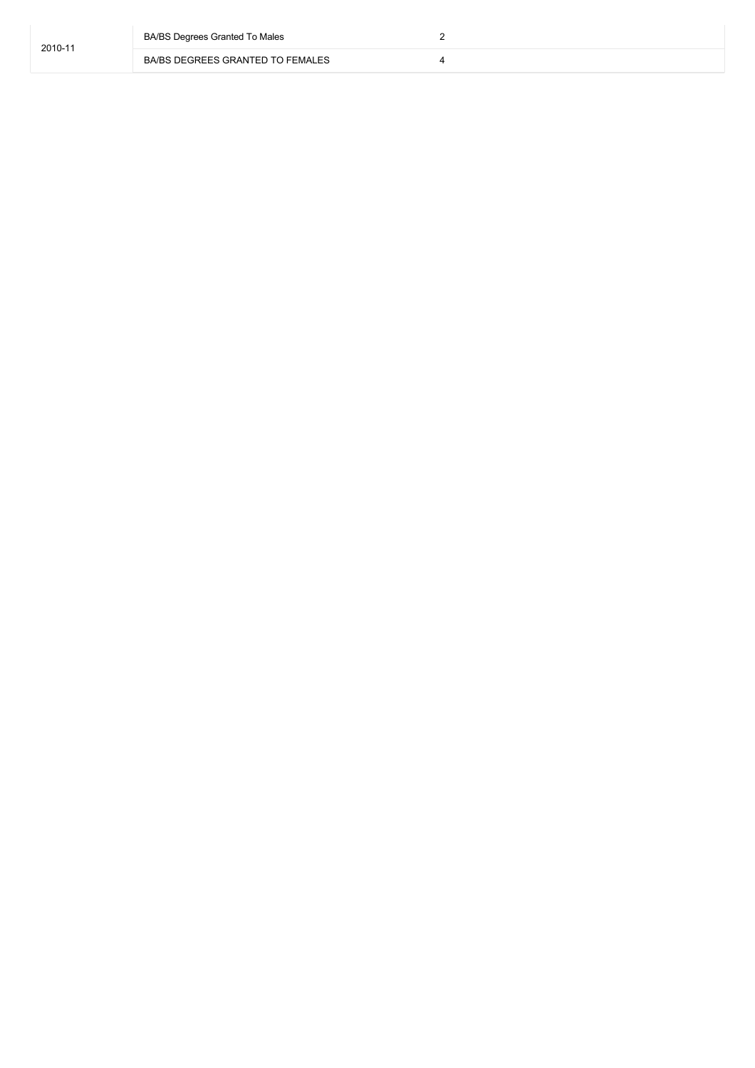| 2010-11 | BA/BS Degrees Granted To Males   |  |
|---------|----------------------------------|--|
|         | BA/BS DEGREES GRANTED TO FEMALES |  |